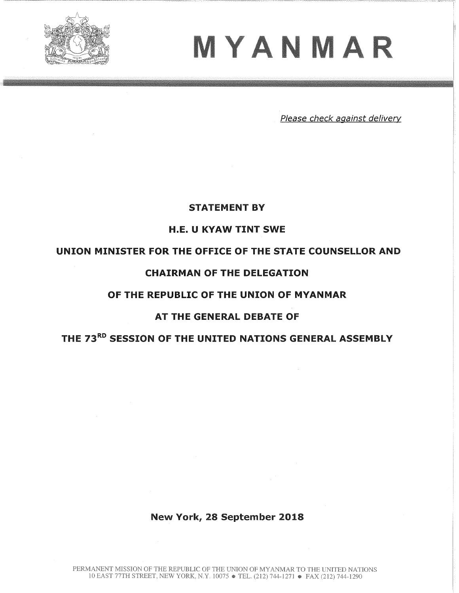

# MYANMAR

Please check against delivery

# STATEMENT BY

# H.E. U KYAW TINT SWE

# UNION MINISTER FOR THE OFFICE OF THE STATE COUNSELLOR AND

# CHAIRMAN OF THE DELEGATION

## OF THE REPUBLIC OF THE UNION OF MYANMAR

# AT THE GENERAL DEBATE OF

# THE 73RD SESSION OF THE UNITED NATIONS GENERAL ASSEMBLY

# New York, 28 September 2018

PERMANENT MISSION OF THE REPUBLIC OF THE UNION OF MYANMAR TO THE UNITED NATIONS 10 EAST 77TH STREET, NEW YORK, N.Y. 10075 • TEL. (212) 744-1271 • FAX (212) 744-1290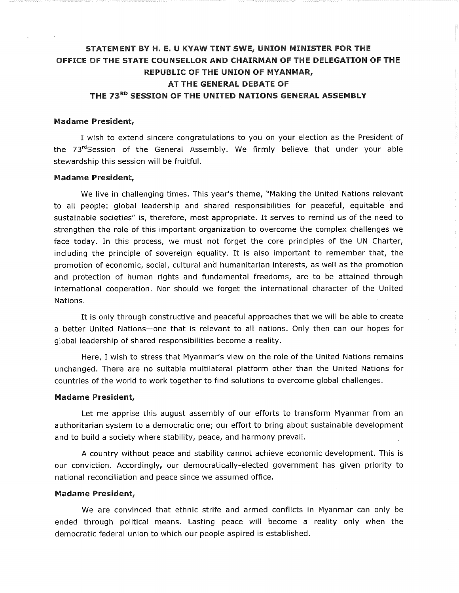# STATEMENT BY H. E. U KYAW TINT SWE, UNION MINISTER FOR THE OFFICE OF THE STATE COUNSELLOR AND CHAIRMAN OF THE DELEGATION OF THE REPUBLIC OF THE UNION OF MYANMAR, AT THE GENERAL DEBATE OF

# THE 73RD SESSION OF THE UNITED NATIONS GENERAL ASSEMBLY

#### Madame President,

I wish to extend sincere congratulations to you on your election as the President of the  $73<sup>rd</sup>Session$  of the General Assembly. We firmly believe that under your able stewardship this session will be fruitful.

#### Madame President,

We live in challenging times. This year's theme, "Making the United Nations relevant to all people: global leadership and shared responsibilities for peaceful, equitable and sustainable societies" is, therefore, most appropriate. It serves to remind us of the need to strengthen the role of this important organization to overcome the complex challenges we face today. In this process, we must not forget the core principles of the UN Charter, including the principle of sovereign equality. It is also important to remember that, the promotion of economic, social, cultural and humanitarian interests, as well as the promotion and protection of human rights and fundamental freedoms, are to be attained through international cooperation. Nor should we forget the international character of the United Nations.

It is only through constructive and peaceful approaches that we will be able to create a better United Nations-one that is relevant to all nations. Only then can our hopes for global leadership of shared responsibilities become a reality.

Here, I wish to stress that Myanmar's view on the role of the United Nations remains unchanged. There are no suitable multilateral platform other than the United Nations for countries of the world to work together to find solutions to overcome global challenges.

#### Madame President,

Let me apprise this august assembly of our efforts to transform Myanmar from an authoritarian system to a democratic one; our effort to bring about sustainable development and to build a society where stability, peace, and harmony prevail.

A country without peace and stability cannot achieve economic development. This is our conviction. Accordingly, our democratically-elected government has given priority to national reconciliation and peace since we assumed office.

#### Madame President,

We are convinced that ethnic strife and armed conflicts in Myanmar can only be ended through political means. Lasting peace will become a reality only when the democratic federal union to which our people aspired is established.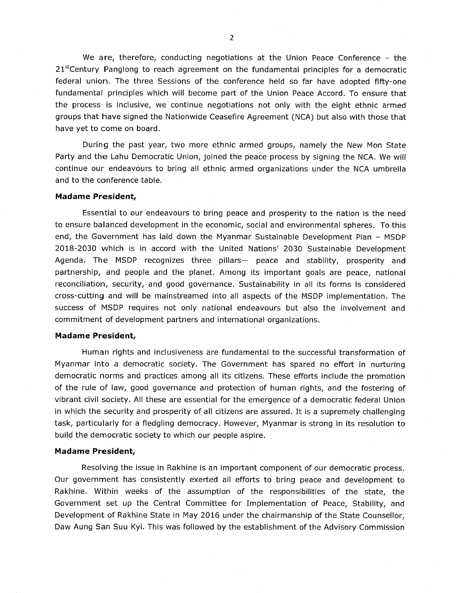We are, therefore, conducting negotiations at the Union Peace Conference - the  $21<sup>st</sup>Century$  Panglong to reach agreement on the fundamental principles for a democratic federal union. The three Sessions of the conference held so far have adopted fifty-one fundamental principles which will become part of the Union Peace Accord. To ensure that the process is inclusive, we continue negotiations not only with the eight ethnic armed groups that have signed the Nationwide Ceasefire Agreement (NCA) but also with those that have yet to come on board.

During the past year, two more ethnic armed groups, namely the New Mon State Party and the Lahu Democratic Union, joined the peace process by signing the NCA. We will continue our endeavours to bring all ethnic armed organizations under the NCA umbrella and to the conference table.

#### Madame President,

Essential to our endeavours to bring peace and prosperity to the nation is the need to ensure balanced development in the economic, social and environmental spheres. To this end, the Government has laid down the Myanmar Sustainable Development Plan - MSDP 2018-2030 which is in accord with the United Nations' 2030 Sustainable Development Agenda. The MSDP recognizes three pillars- peace and stability, prosperity and partnership, and people and the planet. Among its important goals are peace, national reconciliation, security, and good governance. Sustainability in all its forms is considered cross-cutting and will be mainstreamed into all aspects of the SDP implementation. The success of MSDP requires not only national endeavours but also the involvement and commitment of development partners and international organizations.

#### Madame President,

Human rights and inclusiveness are fundamental to the successful transformation of Myanmar into a democratic society. The Government has spared no effort in nurturing democratic norms and practices among all its citizens. These efforts include the promotion of the rule of law, good governance and protection of human rights, and the fostering of vibrant civil society. All these are essential for the emergence of a democratic federal Union in which the security and prosperity of all citizens are assured. It is a supremely challenging task, particularly for a fledgling democracy. However, Myanmar is strong in its resolution to build the democratic society to which our people aspire.

#### Madame President,

Resolving the issue in Rakhine is an important component of our democratic process. Our government has consistently exerted all efforts to bring peace and development to Rakhine. Within weeks of the assumption of the responsibilities of the state, the Government set up the Central Committee for Implementation of Peace, Stability, and Development of Rakhine State in May 2016 under the chairmanship of the State Counsellor, Daw Aung San Suu Kyi. This was followed by the establishment of the Advisory Commission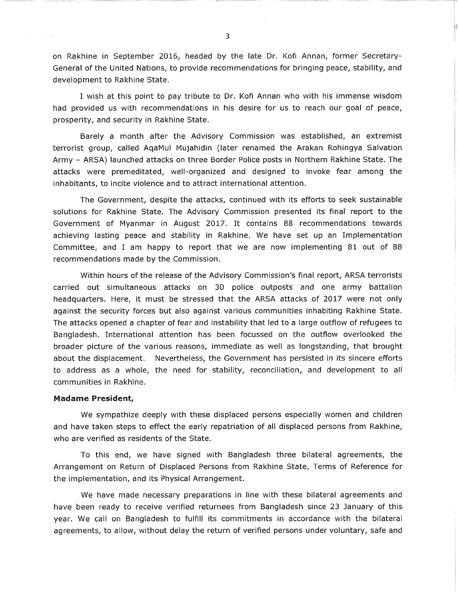on Rakhine in September 2016, headed by the late Dr. Kofi Annan, former Secretary-General of the United Nations, to provide recommendations for bringing peace, stability, and development to Rakhine State.

I wish at this point to pay tribute to Dr. Kofi Annan who with his immense wisdom had provided us with recommendations in his desire for us to reach our goal of peace, prosperity, and security in Rakhine State.

Barely a month after the Advisory Commission was established, an extremist terrorist group, called AqaMul Mujahidin (later renamed the Arakan Rohingya Salvation Army - ARSA) launched attacks on three Border Police posts in Northern Rakhine State. The attacks were premeditated, well-organized and designed to invoke fear among the inhabitants, to incite violence and to attract international attention.

The Government, despite the attacks, continued with its efforts to seek sustainable solutions for Rakhine State. The Advisory Commission presented its final report to the Government of Myanmar in August 2017. It contains 88 recommendations towards achieving lasting peace and stability in Rakhine. We have set up an Implementation Committee, and I am happy to report that we are now implementing 81 out of 88 recommendations made by the Commission.

Within hours of the release of the Advisory Commission's final report, ARSA terrorists carried out simultaneous attacks on 30 police outposts and one army battalion headquarters. Here, it must be stressed that the ARSA attacks of 2017 were not only against the security forces but also against various communities inhabiting Rakhine State. The attacks opened a chapter of fear and instability that led to a large outflow of refugees to Bangladesh. International attention has been focussed on the outflow overlooked the broader picture of the various reasons, immediate as well as longstanding, that brought about the displacement. Nevertheless, the Government has persisted in its sincere efforts to address as a whole, the need for stability, reconciliation, and development to all communities in Rakhine.

#### Madame President,

We sympathize deeply with these displaced persons especially women and children and have taken steps to effect the early repatriation of all displaced persons from Rakhine, who are verified as residents of the State.

To this end, we have signed with Bangladesh three bilateral agreements, the Arrangement on Return of Displaced Persons from Rakhine State, Terms of Reference for the implementation, and its Physical Arrangement.

We have made necessary preparations in line with these bilateral agreements and have been ready to receive verified returnees from Bangladesh since 23 January of this year. We call on Bangladesh to fulfill its commitments in accordance with the bilateral agreements, to allow, without delay the return of verified persons under voluntary, safe and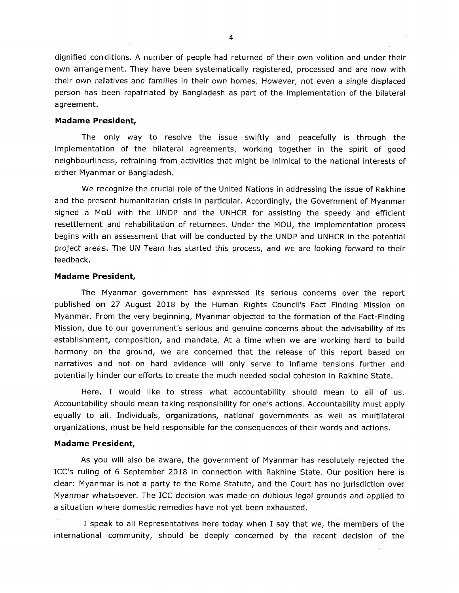dignified conditions. A number of people had returned of their own volition and under their own arrangement. They have been systematically registered, processed and are now with their own relatives and families in their own homes. However, not even a single displaced person has been repatriated by Bangladesh as part of the implementation of the bilateral agreement.

#### Madame President,

The only way to resolve the issue swiftly and peacefully is through the implementation of the bilateral agreements, working together in the spirit of good neighbourliness, refraining from activities that might be inimical to the national interests of either Myanmar or Bangladesh.

We recognize the crucial role of the United Nations in addressing the issue of Rakhine and the present humanitarian crisis in particular. Accordingly, the Government of Myanmar signed a MoU with the UNDP and the UNHCR for assisting the speedy and efficient resettlement and rehabilitation of returnees. Under the MOU, the implementation process begins with an assessment that will be conducted by the UNDP and UNHCR in the potential project areas. The UN Team has started this process, and we are looking forward to their feedback.

#### Madame President,

The Myanmar government has expressed its serious concerns over the report published on 27 August 2018 by the Human Rights Council's Fact Finding Mission on Myanmar. From the very beginning, Myanmar objected to the formation of the Fact-Finding Mission, due to our government's serious and genuine concerns about the advisability of its establishment, composition, and mandate. At a time when we are working hard to build harmony on the ground, we are concerned that the release of this report based on narratives and not on hard evidence will only serve to inflame tensions further and potentially hinder our efforts to create the much needed social cohesion in Rakhine State.

Here, I would like to stress what accountability should mean to all of us. Accountability should mean taking responsibility for one's actions. Accountability must apply equally to all. Individuals, organizations, national governments as well as multilateral organizations, must be held responsible for the consequences of their words and actions.

#### Madame President,

As you will also be aware, the government of Myanmar has resolutely rejected the ICC's ruling of 6 September 2018 in connection with Rakhine State. Our position here is clear: Myanmar is not a party to the Rome Statute, and the Court has no jurisdiction over Myanmar whatsoever. The ICC decision was made on dubious legal grounds and applied to a situation where domestic remedies have not yet been exhausted.

I speak to all Representatives here today when I say that we, the members of the international community, should be deeply concerned by the recent decision of the